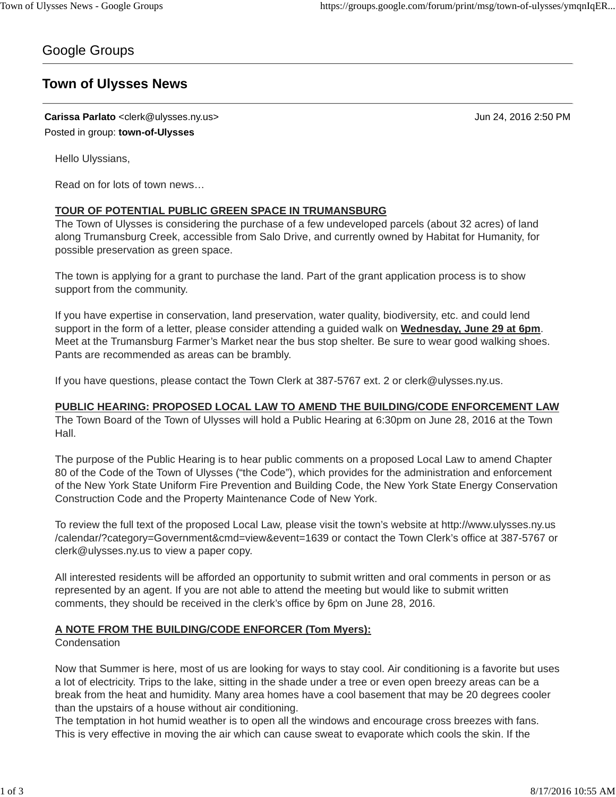# Google Groups

# **Town of Ulysses News**

**Carissa Parlato** <clerk@ulysses.ny.us> Jun 24, 2016 2:50 PM Posted in group: **town-of-Ulysses**

Hello Ulyssians,

Read on for lots of town news…

### **TOUR OF POTENTIAL PUBLIC GREEN SPACE IN TRUMANSBURG**

The Town of Ulysses is considering the purchase of a few undeveloped parcels (about 32 acres) of land along Trumansburg Creek, accessible from Salo Drive, and currently owned by Habitat for Humanity, for possible preservation as green space.

The town is applying for a grant to purchase the land. Part of the grant application process is to show support from the community.

If you have expertise in conservation, land preservation, water quality, biodiversity, etc. and could lend support in the form of a letter, please consider attending a guided walk on **Wednesday, June 29 at 6pm**. Meet at the Trumansburg Farmer's Market near the bus stop shelter. Be sure to wear good walking shoes. Pants are recommended as areas can be brambly.

If you have questions, please contact the Town Clerk at 387-5767 ext. 2 or clerk@ulysses.ny.us.

### **PUBLIC HEARING: PROPOSED LOCAL LAW TO AMEND THE BUILDING/CODE ENFORCEMENT LAW**

The Town Board of the Town of Ulysses will hold a Public Hearing at 6:30pm on June 28, 2016 at the Town Hall.

The purpose of the Public Hearing is to hear public comments on a proposed Local Law to amend Chapter 80 of the Code of the Town of Ulysses ("the Code"), which provides for the administration and enforcement of the New York State Uniform Fire Prevention and Building Code, the New York State Energy Conservation Construction Code and the Property Maintenance Code of New York.

To review the full text of the proposed Local Law, please visit the town's website at http://www.ulysses.ny.us /calendar/?category=Government&cmd=view&event=1639 or contact the Town Clerk's office at 387-5767 or clerk@ulysses.ny.us to view a paper copy.

All interested residents will be afforded an opportunity to submit written and oral comments in person or as represented by an agent. If you are not able to attend the meeting but would like to submit written comments, they should be received in the clerk's office by 6pm on June 28, 2016.

### **A NOTE FROM THE BUILDING/CODE ENFORCER (Tom Myers):**

**Condensation** 

Now that Summer is here, most of us are looking for ways to stay cool. Air conditioning is a favorite but uses a lot of electricity. Trips to the lake, sitting in the shade under a tree or even open breezy areas can be a break from the heat and humidity. Many area homes have a cool basement that may be 20 degrees cooler than the upstairs of a house without air conditioning.

The temptation in hot humid weather is to open all the windows and encourage cross breezes with fans. This is very effective in moving the air which can cause sweat to evaporate which cools the skin. If the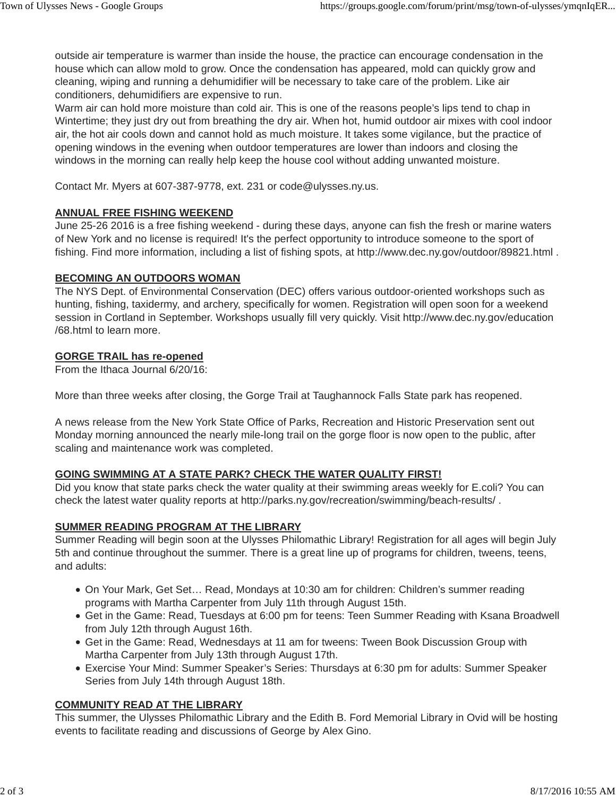outside air temperature is warmer than inside the house, the practice can encourage condensation in the house which can allow mold to grow. Once the condensation has appeared, mold can quickly grow and cleaning, wiping and running a dehumidifier will be necessary to take care of the problem. Like air conditioners, dehumidifiers are expensive to run.

Warm air can hold more moisture than cold air. This is one of the reasons people's lips tend to chap in Wintertime; they just dry out from breathing the dry air. When hot, humid outdoor air mixes with cool indoor air, the hot air cools down and cannot hold as much moisture. It takes some vigilance, but the practice of opening windows in the evening when outdoor temperatures are lower than indoors and closing the windows in the morning can really help keep the house cool without adding unwanted moisture.

Contact Mr. Myers at 607-387-9778, ext. 231 or code@ulysses.ny.us.

## **ANNUAL FREE FISHING WEEKEND**

June 25-26 2016 is a free fishing weekend - during these days, anyone can fish the fresh or marine waters of New York and no license is required! It's the perfect opportunity to introduce someone to the sport of fishing. Find more information, including a list of fishing spots, at http://www.dec.ny.gov/outdoor/89821.html .

## **BECOMING AN OUTDOORS WOMAN**

The NYS Dept. of Environmental Conservation (DEC) offers various outdoor-oriented workshops such as hunting, fishing, taxidermy, and archery, specifically for women. Registration will open soon for a weekend session in Cortland in September. Workshops usually fill very quickly. Visit http://www.dec.ny.gov/education /68.html to learn more.

## **GORGE TRAIL has re-opened**

From the Ithaca Journal 6/20/16:

More than three weeks after closing, the Gorge Trail at Taughannock Falls State park has reopened.

A news release from the New York State Office of Parks, Recreation and Historic Preservation sent out Monday morning announced the nearly mile-long trail on the gorge floor is now open to the public, after scaling and maintenance work was completed.

# **GOING SWIMMING AT A STATE PARK? CHECK THE WATER QUALITY FIRST!**

Did you know that state parks check the water quality at their swimming areas weekly for E.coli? You can check the latest water quality reports at http://parks.ny.gov/recreation/swimming/beach-results/ .

# **SUMMER READING PROGRAM AT THE LIBRARY**

Summer Reading will begin soon at the Ulysses Philomathic Library! Registration for all ages will begin July 5th and continue throughout the summer. There is a great line up of programs for children, tweens, teens, and adults:

- On Your Mark, Get Set… Read, Mondays at 10:30 am for children: Children's summer reading programs with Martha Carpenter from July 11th through August 15th.
- Get in the Game: Read, Tuesdays at 6:00 pm for teens: Teen Summer Reading with Ksana Broadwell from July 12th through August 16th.
- Get in the Game: Read, Wednesdays at 11 am for tweens: Tween Book Discussion Group with Martha Carpenter from July 13th through August 17th.
- Exercise Your Mind: Summer Speaker's Series: Thursdays at 6:30 pm for adults: Summer Speaker Series from July 14th through August 18th.

# **COMMUNITY READ AT THE LIBRARY**

This summer, the Ulysses Philomathic Library and the Edith B. Ford Memorial Library in Ovid will be hosting events to facilitate reading and discussions of George by Alex Gino.